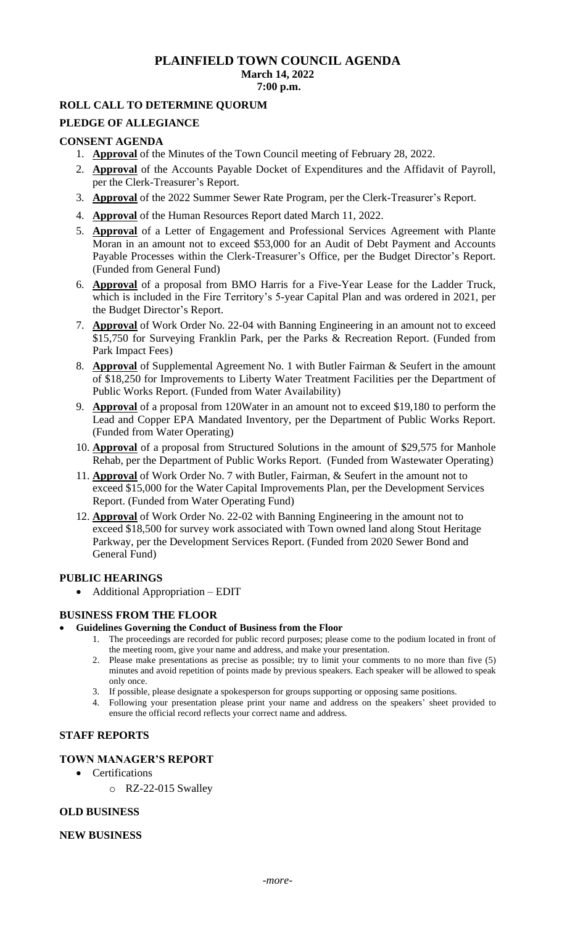## **PLAINFIELD TOWN COUNCIL AGENDA March 14, 2022 7:00 p.m.**

### **ROLL CALL TO DETERMINE QUORUM**

#### **PLEDGE OF ALLEGIANCE**

#### **CONSENT AGENDA**

- 1. **Approval** of the Minutes of the Town Council meeting of February 28, 2022.
- 2. **Approval** of the Accounts Payable Docket of Expenditures and the Affidavit of Payroll, per the Clerk-Treasurer's Report.
- 3. **Approval** of the 2022 Summer Sewer Rate Program, per the Clerk-Treasurer's Report.
- 4. **Approval** of the Human Resources Report dated March 11, 2022.
- 5. **Approval** of a Letter of Engagement and Professional Services Agreement with Plante Moran in an amount not to exceed \$53,000 for an Audit of Debt Payment and Accounts Payable Processes within the Clerk-Treasurer's Office, per the Budget Director's Report. (Funded from General Fund)
- 6. **Approval** of a proposal from BMO Harris for a Five-Year Lease for the Ladder Truck, which is included in the Fire Territory's 5-year Capital Plan and was ordered in 2021, per the Budget Director's Report.
- 7. **Approval** of Work Order No. 22-04 with Banning Engineering in an amount not to exceed \$15,750 for Surveying Franklin Park, per the Parks & Recreation Report. (Funded from Park Impact Fees)
- 8. **Approval** of Supplemental Agreement No. 1 with Butler Fairman & Seufert in the amount of \$18,250 for Improvements to Liberty Water Treatment Facilities per the Department of Public Works Report. (Funded from Water Availability)
- 9. **Approval** of a proposal from 120Water in an amount not to exceed \$19,180 to perform the Lead and Copper EPA Mandated Inventory, per the Department of Public Works Report. (Funded from Water Operating)
- 10. **Approval** of a proposal from Structured Solutions in the amount of \$29,575 for Manhole Rehab, per the Department of Public Works Report. (Funded from Wastewater Operating)
- 11. **Approval** of Work Order No. 7 with Butler, Fairman, & Seufert in the amount not to exceed \$15,000 for the Water Capital Improvements Plan, per the Development Services Report. (Funded from Water Operating Fund)
- 12. **Approval** of Work Order No. 22-02 with Banning Engineering in the amount not to exceed \$18,500 for survey work associated with Town owned land along Stout Heritage Parkway, per the Development Services Report. (Funded from 2020 Sewer Bond and General Fund)

#### **PUBLIC HEARINGS**

• Additional Appropriation – EDIT

#### **BUSINESS FROM THE FLOOR**

- **Guidelines Governing the Conduct of Business from the Floor**
	- 1. The proceedings are recorded for public record purposes; please come to the podium located in front of the meeting room, give your name and address, and make your presentation.
	- 2. Please make presentations as precise as possible; try to limit your comments to no more than five (5) minutes and avoid repetition of points made by previous speakers. Each speaker will be allowed to speak only once.
	- 3. If possible, please designate a spokesperson for groups supporting or opposing same positions.
	- 4. Following your presentation please print your name and address on the speakers' sheet provided to ensure the official record reflects your correct name and address.

# **STAFF REPORTS**

## **TOWN MANAGER'S REPORT**

- Certifications
	- o RZ-22-015 Swalley

#### **OLD BUSINESS**

#### **NEW BUSINESS**